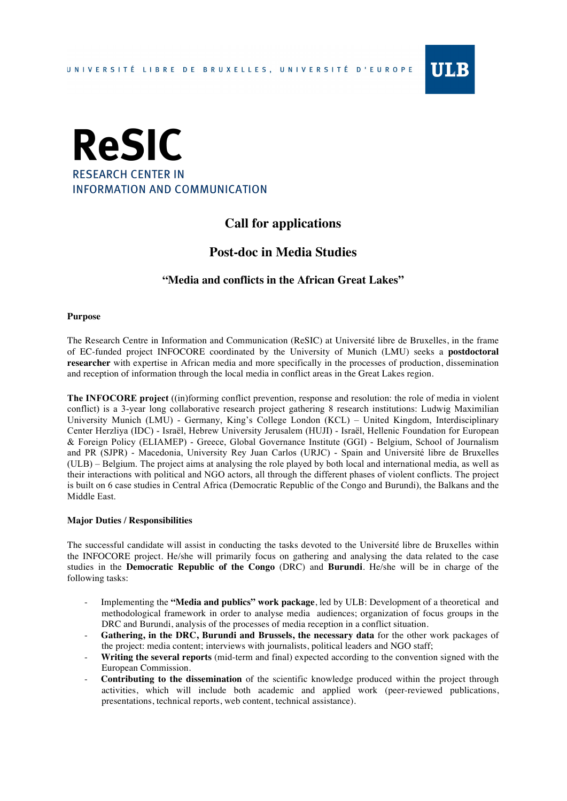



# **Call for applications**

## **Post-doc in Media Studies**

## **"Media and conflicts in the African Great Lakes"**

#### **Purpose**

The Research Centre in Information and Communication (ReSIC) at Université libre de Bruxelles, in the frame of EC-funded project INFOCORE coordinated by the University of Munich (LMU) seeks a **postdoctoral researcher** with expertise in African media and more specifically in the processes of production, dissemination and reception of information through the local media in conflict areas in the Great Lakes region.

**The INFOCORE project** ((in)forming conflict prevention, response and resolution: the role of media in violent conflict) is a 3-year long collaborative research project gathering 8 research institutions: Ludwig Maximilian University Munich (LMU) - Germany, King's College London (KCL) – United Kingdom, Interdisciplinary Center Herzliya (IDC) - Israël, Hebrew University Jerusalem (HUJI) - Israël, Hellenic Foundation for European & Foreign Policy (ELIAMEP) - Greece, Global Governance Institute (GGI) - Belgium, School of Journalism and PR (SJPR) - Macedonia, University Rey Juan Carlos (URJC) - Spain and Université libre de Bruxelles (ULB) – Belgium. The project aims at analysing the role played by both local and international media, as well as their interactions with political and NGO actors, all through the different phases of violent conflicts. The project is built on 6 case studies in Central Africa (Democratic Republic of the Congo and Burundi), the Balkans and the Middle East.

#### **Major Duties / Responsibilities**

The successful candidate will assist in conducting the tasks devoted to the Université libre de Bruxelles within the INFOCORE project. He/she will primarily focus on gathering and analysing the data related to the case studies in the **Democratic Republic of the Congo** (DRC) and **Burundi**. He/she will be in charge of the following tasks:

- Implementing the **"Media and publics" work package**, led by ULB: Development of a theoretical and methodological framework in order to analyse media audiences; organization of focus groups in the DRC and Burundi, analysis of the processes of media reception in a conflict situation.
- **Gathering, in the DRC, Burundi and Brussels, the necessary data** for the other work packages of the project: media content; interviews with journalists, political leaders and NGO staff;
- **Writing the several reports** (mid-term and final) expected according to the convention signed with the European Commission.
- **Contributing to the dissemination** of the scientific knowledge produced within the project through activities, which will include both academic and applied work (peer-reviewed publications, presentations, technical reports, web content, technical assistance).